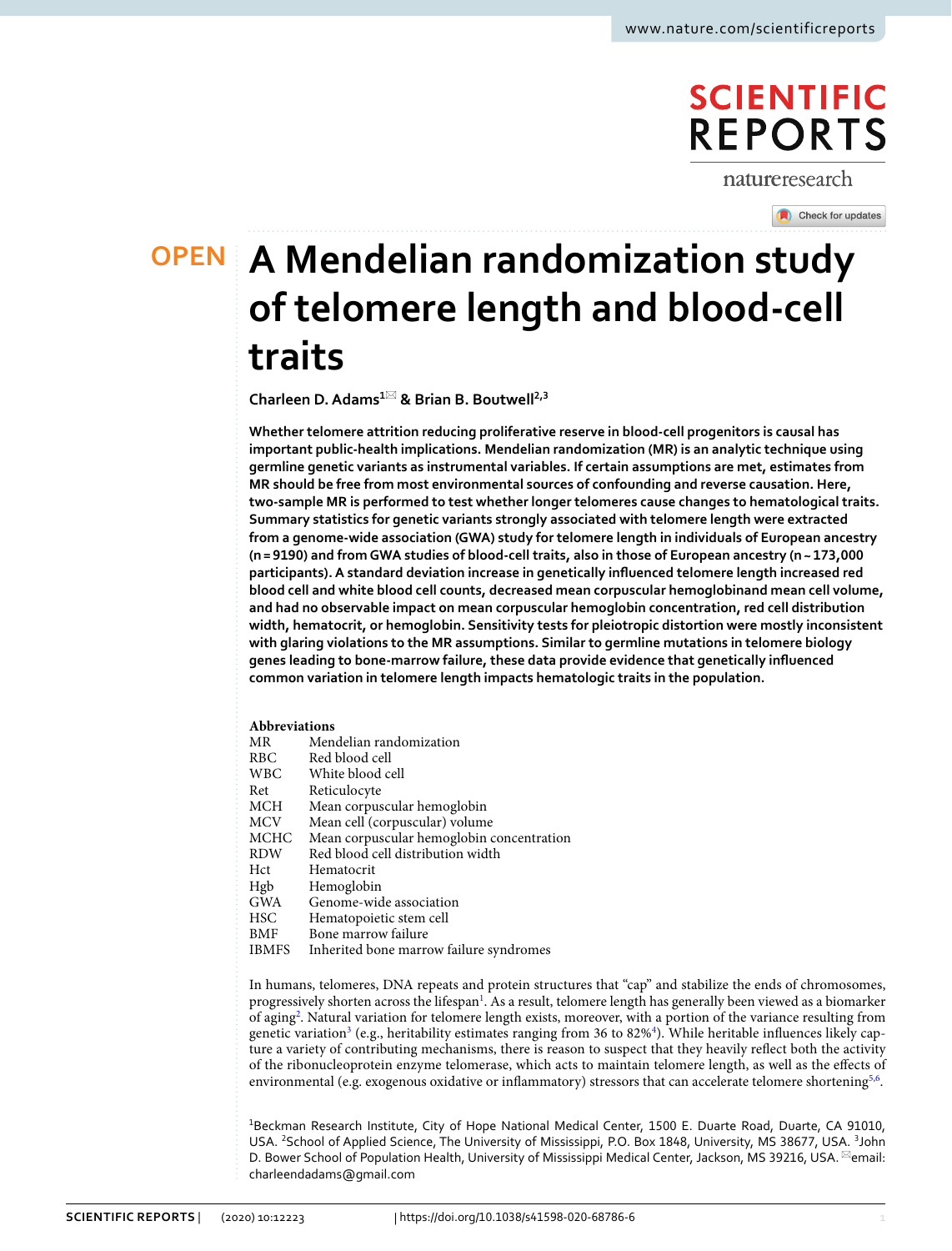# **SCIENTIFIC REPORTS**

natureresearch

Check for updates

# **A Mendelian randomization study OPEN of telomere length and blood‑cell traits**

**Charleen D.Adams<sup>1</sup>**\* **& Brian B. Boutwell2,3**

**Whether telomere attrition reducing proliferative reserve in blood-cell progenitors is causal has important public-health implications. Mendelian randomization (MR) is an analytic technique using germline genetic variants as instrumental variables. If certain assumptions are met, estimates from MR should be free from most environmental sources of confounding and reverse causation. Here, two-sample MR is performed to test whether longer telomeres cause changes to hematological traits. Summary statistics for genetic variants strongly associated with telomere length were extracted from a genome-wide association (GWA) study for telomere length in individuals of European ancestry (n= 9190) and from GWA studies of blood-cell traits, also in those of European ancestry (n~ 173,000 participants). A standard deviation increase in genetically infuenced telomere length increased red blood cell and white blood cell counts, decreased mean corpuscular hemoglobinand mean cell volume, and had no observable impact on mean corpuscular hemoglobin concentration, red cell distribution width, hematocrit, or hemoglobin. Sensitivity tests for pleiotropic distortion were mostly inconsistent with glaring violations to the MR assumptions. Similar to germline mutations in telomere biology genes leading to bone-marrow failure, these data provide evidence that genetically infuenced common variation in telomere length impacts hematologic traits in the population.**

# **Abbreviations**

| ΜR         | Mendelian randomization                   |
|------------|-------------------------------------------|
| RBC.       | Red blood cell                            |
| <b>WBC</b> | White blood cell                          |
| Ret        | Reticulocyte                              |
| MCH        | Mean corpuscular hemoglobin               |
| MCV        | Mean cell (corpuscular) volume            |
| MCHC       | Mean corpuscular hemoglobin concentration |
| <b>RDW</b> | Red blood cell distribution width         |
| Hct        | Hematocrit                                |
| Hgb        | Hemoglobin                                |
| <b>GWA</b> | Genome-wide association                   |
| HSC        | Hematopoietic stem cell                   |
| BMF        | Bone marrow failure                       |
|            |                                           |

IBMFS Inherited bone marrow failure syndromes

In humans, telomeres, DNA repeats and protein structures that "cap" and stabilize the ends of chromosomes, progressively shorten across the lifespan<sup>[1](#page-6-0)</sup>. As a result, telomere length has generally been viewed as a biomarker of agin[g2](#page-6-1) . Natural variation for telomere length exists, moreover, with a portion of the variance resulting from genetic variation<sup>3</sup> (e.g., heritability estimates ranging from 36 to 82%<sup>[4](#page-6-3)</sup>). While heritable influences likely capture a variety of contributing mechanisms, there is reason to suspect that they heavily refect both the activity of the ribonucleoprotein enzyme telomerase, which acts to maintain telomere length, as well as the efects of environmental (e.g. exogenous oxidative or inflammatory) stressors that can accelerate telomere shortening<sup>[5](#page-6-4),[6](#page-6-5)</sup>.

<sup>1</sup>Beckman Research Institute, City of Hope National Medical Center, 1500 E. Duarte Road, Duarte, CA 91010, USA. <sup>2</sup> School of Applied Science, The University of Mississippi, P.O. Box 1848, University, MS 38677, USA. <sup>3</sup> John D. Bower School of Population Health, University of Mississippi Medical Center, Jackson, MS 39216, USA. <sup>⊠</sup>email: charleendadams@gmail.com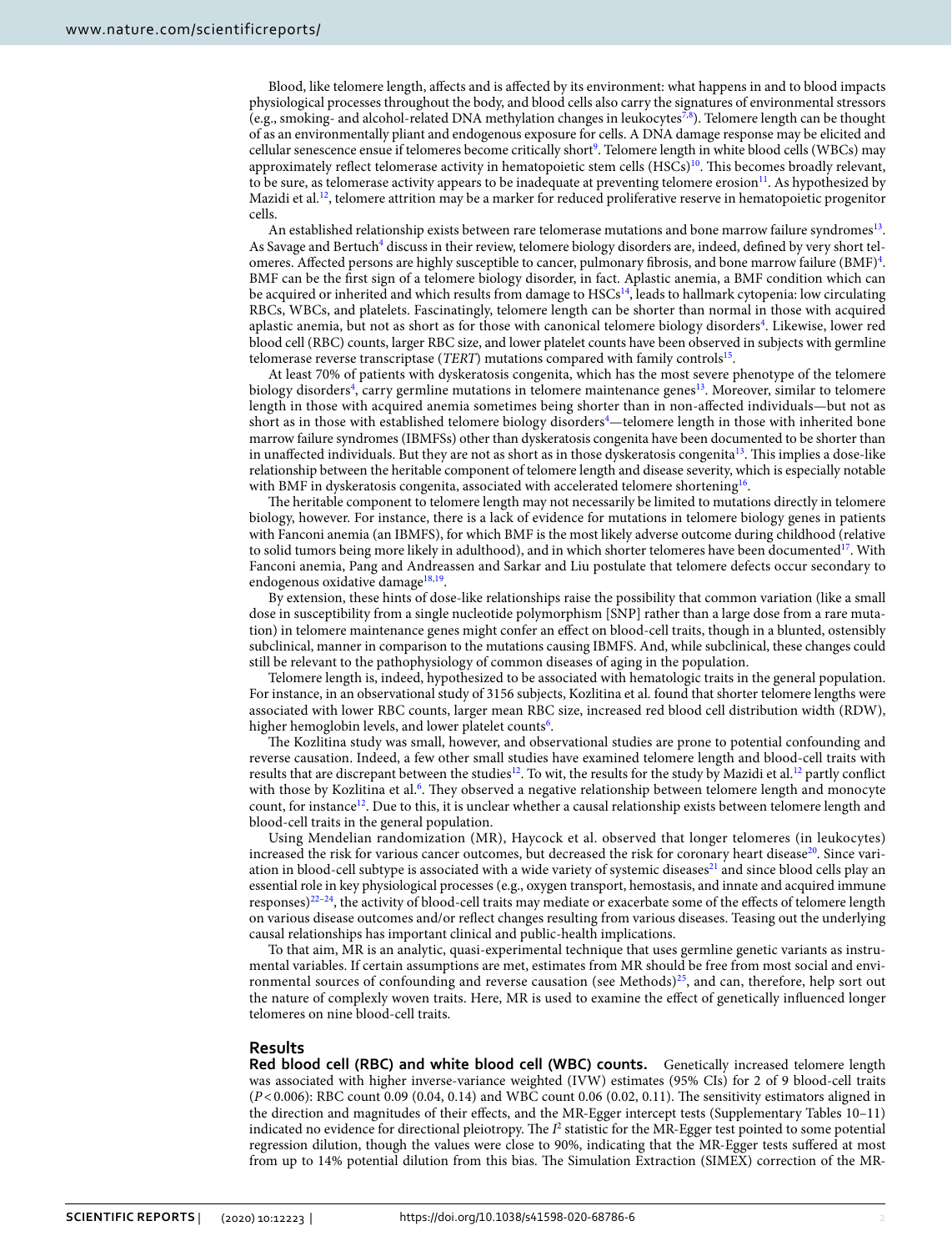Blood, like telomere length, afects and is afected by its environment: what happens in and to blood impacts physiological processes throughout the body, and blood cells also carry the signatures of environmental stressors (e.g., smoking- and alcohol-related DNA methylation changes in leukocytes[7](#page-6-6),[8](#page-6-7) ). Telomere length can be thought of as an environmentally pliant and endogenous exposure for cells. A DNA damage response may be elicited and cellular senescence ensue if telomeres become critically short<sup>9</sup>. Telomere length in white blood cells (WBCs) may approximately reflect telomerase activity in hematopoietic stem cells  $(HSCs)^{10}$ . This becomes broadly relevant, to be sure, as telomerase activity appears to be inadequate at preventing telomere erosion $11$ . As hypothesized by Mazidi et al.<sup>12</sup>, telomere attrition may be a marker for reduced proliferative reserve in hematopoietic progenitor cells.

An established relationship exists between rare telomerase mutations and bone marrow failure syndromes<sup>13</sup>. As Savage and Bertuch<sup>4</sup> discuss in their review, telomere biology disorders are, indeed, defined by very short telomeres. Affected persons are highly susceptible to cancer, pulmonary fibrosis, and bone marrow failure (BMF)<sup>4</sup>. BMF can be the frst sign of a telomere biology disorder, in fact. Aplastic anemia, a BMF condition which can be acquired or inherited and which results from damage to HSCs<sup>14</sup>, leads to hallmark cytopenia: low circulating RBCs, WBCs, and platelets. Fascinatingly, telomere length can be shorter than normal in those with acquired aplastic anemia, but not as short as for those with canonical telomere biology disorders<sup>[4](#page-6-3)</sup>. Likewise, lower red blood cell (RBC) counts, larger RBC size, and lower platelet counts have been observed in subjects with germline telomerase reverse transcriptase (*TERT*) mutations compared with family controls<sup>[15](#page-6-14)</sup>.

At least 70% of patients with dyskeratosis congenita, which has the most severe phenotype of the telomere biology disorders<sup>4</sup>, carry germline mutations in telomere maintenance genes<sup>13</sup>. Moreover, similar to telomere length in those with acquired anemia sometimes being shorter than in non-afected individuals—but not as short as in those with established telomere biology disorders $^4-$ telomere length in those with inherited bone marrow failure syndromes (IBMFSs) other than dyskeratosis congenita have been documented to be shorter than in unaffected individuals. But they are not as short as in those dyskeratosis congenita<sup>13</sup>. This implies a dose-like relationship between the heritable component of telomere length and disease severity, which is especially notable with BMF in dyskeratosis congenita, associated with accelerated telomere shortening<sup>16</sup>.

The heritable component to telomere length may not necessarily be limited to mutations directly in telomere biology, however. For instance, there is a lack of evidence for mutations in telomere biology genes in patients with Fanconi anemia (an IBMFS), for which BMF is the most likely adverse outcome during childhood (relative to solid tumors being more likely in adulthood), and in which shorter telomeres have been documented<sup>17</sup>. With Fanconi anemia, Pang and Andreassen and Sarkar and Liu postulate that telomere defects occur secondary to endogenous oxidative damage<sup>[18,](#page-6-17)19</sup>.

By extension, these hints of dose-like relationships raise the possibility that common variation (like a small dose in susceptibility from a single nucleotide polymorphism [SNP] rather than a large dose from a rare mutation) in telomere maintenance genes might confer an efect on blood-cell traits, though in a blunted, ostensibly subclinical, manner in comparison to the mutations causing IBMFS. And, while subclinical, these changes could still be relevant to the pathophysiology of common diseases of aging in the population.

Telomere length is, indeed, hypothesized to be associated with hematologic traits in the general population. For instance, in an observational study of 3156 subjects, Kozlitina et al*.* found that shorter telomere lengths were associated with lower RBC counts, larger mean RBC size, increased red blood cell distribution width (RDW), higher hemoglobin levels, and lower platelet counts<sup>[6](#page-6-5)</sup>.

The Kozlitina study was small, however, and observational studies are prone to potential confounding and reverse causation. Indeed, a few other small studies have examined telomere length and blood-cell traits with results that are discrepant between the studies<sup>12</sup>. To wit, the results for the study by Mazidi et al.<sup>12</sup> partly conflict with those by Kozlitina et al.<sup>[6](#page-6-5)</sup>. They observed a negative relationship between telomere length and monocyte count, for instance<sup>12</sup>. Due to this, it is unclear whether a causal relationship exists between telomere length and blood-cell traits in the general population.

Using Mendelian randomization (MR), Haycock et al. observed that longer telomeres (in leukocytes) increased the risk for various cancer outcomes, but decreased the risk for coronary heart disease<sup>20</sup>. Since vari-ation in blood-cell subtype is associated with a wide variety of systemic diseases<sup>[21](#page-6-20)</sup> and since blood cells play an essential role in key physiological processes (e.g., oxygen transport, hemostasis, and innate and acquired immune responses[\)22–](#page-6-21)[24,](#page-6-22) the activity of blood-cell traits may mediate or exacerbate some of the efects of telomere length on various disease outcomes and/or refect changes resulting from various diseases. Teasing out the underlying causal relationships has important clinical and public-health implications.

To that aim, MR is an analytic, quasi-experimental technique that uses germline genetic variants as instrumental variables. If certain assumptions are met, estimates from MR should be free from most social and envi-ronmental sources of confounding and reverse causation (see Methods)<sup>[25](#page-6-23)</sup>, and can, therefore, help sort out the nature of complexly woven traits. Here, MR is used to examine the efect of genetically infuenced longer telomeres on nine blood-cell traits.

# **Results**

**Red blood cell (RBC) and white blood cell (WBC) counts.** Genetically increased telomere length was associated with higher inverse-variance weighted (IVW) estimates (95% CIs) for 2 of 9 blood-cell traits (*P*<0.006): RBC count 0.09 (0.04, 0.14) and WBC count 0.06 (0.02, 0.11). Te sensitivity estimators aligned in the direction and magnitudes of their efects, and the MR-Egger intercept tests (Supplementary Tables 10–11) indicated no evidence for directional pleiotropy. The  $I^2$  statistic for the MR-Egger test pointed to some potential regression dilution, though the values were close to 90%, indicating that the MR-Egger tests sufered at most from up to 14% potential dilution from this bias. The Simulation Extraction (SIMEX) correction of the MR-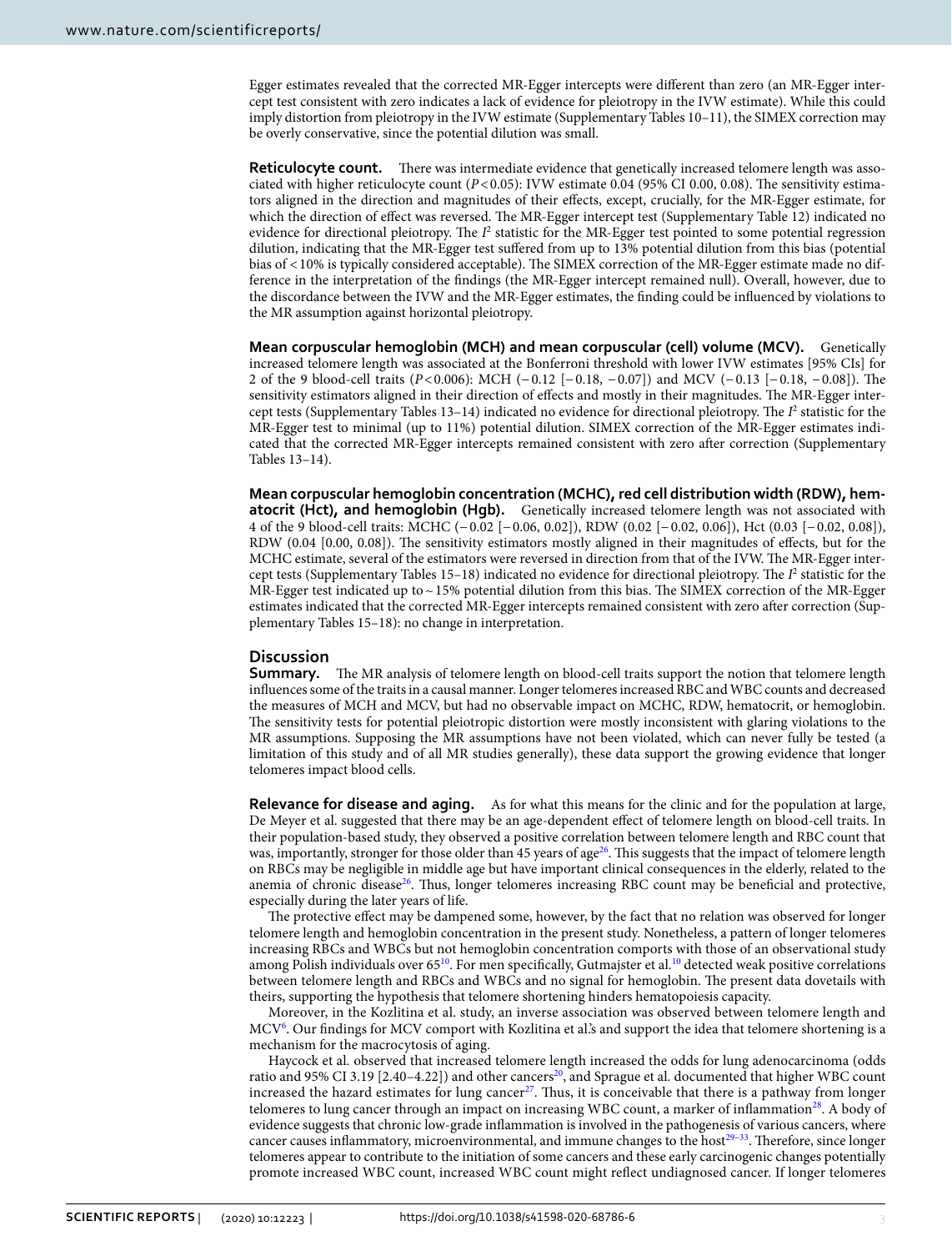Egger estimates revealed that the corrected MR-Egger intercepts were diferent than zero (an MR-Egger intercept test consistent with zero indicates a lack of evidence for pleiotropy in the IVW estimate). While this could imply distortion from pleiotropy in the IVW estimate (Supplementary Tables 10–11), the SIMEX correction may be overly conservative, since the potential dilution was small.

**Reticulocyte count.** There was intermediate evidence that genetically increased telomere length was associated with higher reticulocyte count  $(P<0.05)$ : IVW estimate 0.04 (95% CI 0.00, 0.08). The sensitivity estimators aligned in the direction and magnitudes of their efects, except, crucially, for the MR-Egger estimate, for which the direction of effect was reversed. The MR-Egger intercept test (Supplementary Table 12) indicated no evidence for directional pleiotropy. The  $I^2$  statistic for the MR-Egger test pointed to some potential regression dilution, indicating that the MR-Egger test sufered from up to 13% potential dilution from this bias (potential bias of <10% is typically considered acceptable). The SIMEX correction of the MR-Egger estimate made no difference in the interpretation of the fndings (the MR-Egger intercept remained null). Overall, however, due to the discordance between the IVW and the MR-Egger estimates, the fnding could be infuenced by violations to the MR assumption against horizontal pleiotropy.

**Mean corpuscular hemoglobin (MCH) and mean corpuscular (cell) volume (MCV).** Genetically increased telomere length was associated at the Bonferroni threshold with lower IVW estimates [95% CIs] for 2 of the 9 blood-cell traits (*P*<0.006): MCH (−0.12 [−0.18, −0.07]) and MCV (−0.13 [−0.18, −0.08]). The sensitivity estimators aligned in their direction of effects and mostly in their magnitudes. The MR-Egger intercept tests (Supplementary Tables 13-14) indicated no evidence for directional pleiotropy. The  $I^2$  statistic for the MR-Egger test to minimal (up to 11%) potential dilution. SIMEX correction of the MR-Egger estimates indicated that the corrected MR-Egger intercepts remained consistent with zero afer correction (Supplementary Tables 13–14).

**Mean corpuscular hemoglobin concentration (MCHC), red cell distribution width (RDW), hematocrit (Hct), and hemoglobin (Hgb). Genetically increased telomere length was not associated with** 4 of the 9 blood-cell traits: MCHC (−0.02 [−0.06, 0.02]), RDW (0.02 [−0.02, 0.06]), Hct (0.03 [−0.02, 0.08]), RDW (0.04 [0.00, 0.08]). The sensitivity estimators mostly aligned in their magnitudes of effects, but for the MCHC estimate, several of the estimators were reversed in direction from that of the IVW. The MR-Egger intercept tests (Supplementary Tables 15-18) indicated no evidence for directional pleiotropy. The  $I^2$  statistic for the MR-Egger test indicated up to  $\sim$  15% potential dilution from this bias. The SIMEX correction of the MR-Egger estimates indicated that the corrected MR-Egger intercepts remained consistent with zero afer correction (Supplementary Tables 15–18): no change in interpretation.

# **Discussion**

**Summary.** The MR analysis of telomere length on blood-cell traits support the notion that telomere length infuences some of the traits in a causal manner. Longer telomeres increased RBC and WBC counts and decreased the measures of MCH and MCV, but had no observable impact on MCHC, RDW, hematocrit, or hemoglobin. The sensitivity tests for potential pleiotropic distortion were mostly inconsistent with glaring violations to the MR assumptions. Supposing the MR assumptions have not been violated, which can never fully be tested (a limitation of this study and of all MR studies generally), these data support the growing evidence that longer telomeres impact blood cells.

**Relevance for disease and aging.** As for what this means for the clinic and for the population at large, De Meyer et al. suggested that there may be an age-dependent efect of telomere length on blood-cell traits. In their population-based study, they observed a positive correlation between telomere length and RBC count that was, importantly, stronger for those older than 45 years of age<sup>26</sup>. This suggests that the impact of telomere length on RBCs may be negligible in middle age but have important clinical consequences in the elderly, related to the anemia of chronic disease<sup>26</sup>. Thus, longer telomeres increasing RBC count may be beneficial and protective, especially during the later years of life.

The protective effect may be dampened some, however, by the fact that no relation was observed for longer telomere length and hemoglobin concentration in the present study. Nonetheless, a pattern of longer telomeres increasing RBCs and WBCs but not hemoglobin concentration comports with those of an observational study among Polish individuals over 65<sup>[10](#page-6-9)</sup>. For men specifically, Gutmajster et al.<sup>10</sup> detected weak positive correlations between telomere length and RBCs and WBCs and no signal for hemoglobin. The present data dovetails with theirs, supporting the hypothesis that telomere shortening hinders hematopoiesis capacity.

Moreover, in the Kozlitina et al. study, an inverse association was observed between telomere length and MC[V6](#page-6-5) . Our fndings for MCV comport with Kozlitina et al.'s and support the idea that telomere shortening is a mechanism for the macrocytosis of aging.

Haycock et al*.* observed that increased telomere length increased the odds for lung adenocarcinoma (odds ratio and 95% CI 3.19 [2.40–4.22]) and other cancers<sup>[20](#page-6-19)</sup>, and Sprague et al. documented that higher WBC count increased the hazard estimates for lung cancer<sup>[27](#page-6-25)</sup>. Thus, it is conceivable that there is a pathway from longer telomeres to lung cancer through an impact on increasing WBC count, a marker of inflammation<sup>28</sup>. A body of evidence suggests that chronic low-grade infammation is involved in the pathogenesis of various cancers, where cancer causes inflammatory, microenvironmental, and immune changes to the host<sup>29-[33](#page-6-28)</sup>. Therefore, since longer telomeres appear to contribute to the initiation of some cancers and these early carcinogenic changes potentially promote increased WBC count, increased WBC count might refect undiagnosed cancer. If longer telomeres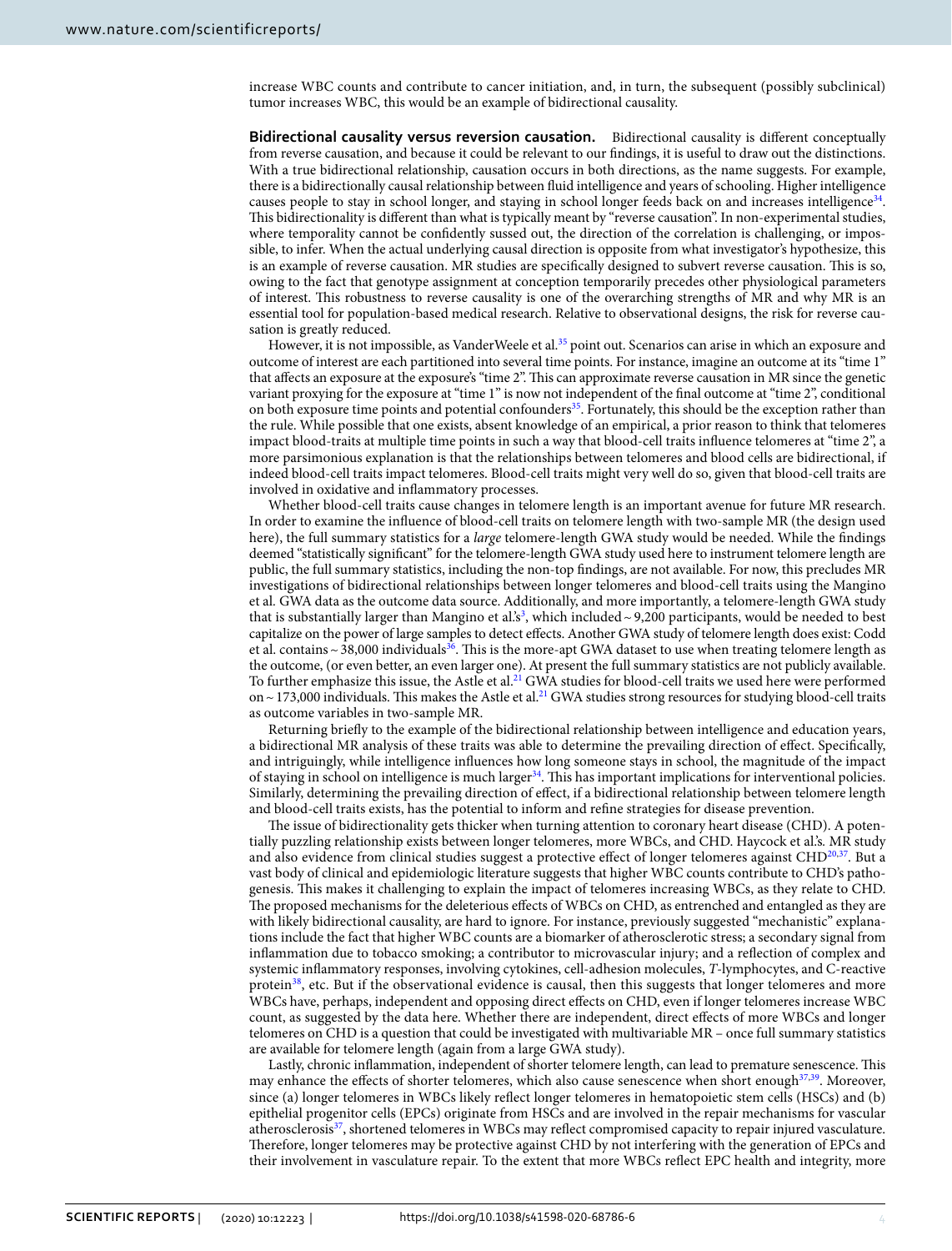increase WBC counts and contribute to cancer initiation, and, in turn, the subsequent (possibly subclinical) tumor increases WBC, this would be an example of bidirectional causality.

**Bidirectional causality versus reversion causation.** Bidirectional causality is diferent conceptually from reverse causation, and because it could be relevant to our fndings, it is useful to draw out the distinctions. With a true bidirectional relationship, causation occurs in both directions, as the name suggests. For example, there is a bidirectionally causal relationship between fuid intelligence and years of schooling. Higher intelligence causes people to stay in school longer, and staying in school longer feeds back on and increases intelligence<sup>[34](#page-7-0)</sup>. Tis bidirectionality is diferent than what is typically meant by "reverse causation". In non-experimental studies, where temporality cannot be confdently sussed out, the direction of the correlation is challenging, or impossible, to infer. When the actual underlying causal direction is opposite from what investigator's hypothesize, this is an example of reverse causation. MR studies are specifcally designed to subvert reverse causation. Tis is so, owing to the fact that genotype assignment at conception temporarily precedes other physiological parameters of interest. Tis robustness to reverse causality is one of the overarching strengths of MR and why MR is an essential tool for population-based medical research. Relative to observational designs, the risk for reverse causation is greatly reduced.

However, it is not impossible, as VanderWeele et al.<sup>35</sup> point out. Scenarios can arise in which an exposure and outcome of interest are each partitioned into several time points. For instance, imagine an outcome at its "time 1" that afects an exposure at the exposure's "time 2". Tis can approximate reverse causation in MR since the genetic variant proxying for the exposure at "time 1" is now not independent of the fnal outcome at "time 2", conditional on both exposure time points and potential confounders<sup>[35](#page-7-1)</sup>. Fortunately, this should be the exception rather than the rule. While possible that one exists, absent knowledge of an empirical, a prior reason to think that telomeres impact blood-traits at multiple time points in such a way that blood-cell traits infuence telomeres at "time 2", a more parsimonious explanation is that the relationships between telomeres and blood cells are bidirectional, if indeed blood-cell traits impact telomeres. Blood-cell traits might very well do so, given that blood-cell traits are involved in oxidative and infammatory processes.

Whether blood-cell traits cause changes in telomere length is an important avenue for future MR research. In order to examine the infuence of blood-cell traits on telomere length with two-sample MR (the design used here), the full summary statistics for a *large* telomere-length GWA study would be needed. While the fndings deemed "statistically signifcant" for the telomere-length GWA study used here to instrument telomere length are public, the full summary statistics, including the non-top fndings, are not available. For now, this precludes MR investigations of bidirectional relationships between longer telomeres and blood-cell traits using the Mangino et al*.* GWA data as the outcome data source. Additionally, and more importantly, a telomere-length GWA study that is substantially larger than Mangino et al.'s<sup>[3](#page-6-2)</sup>, which included ~9,200 participants, would be needed to best capitalize on the power of large samples to detect efects. Another GWA study of telomere length does exist: Codd et al. contains  $\sim$  38,000 individuals<sup>36</sup>. This is the more-apt GWA dataset to use when treating telomere length as the outcome, (or even better, an even larger one). At present the full summary statistics are not publicly available. To further emphasize this issue, the Astle et al.<sup>21</sup> GWA studies for blood-cell traits we used here were performed on  $\sim$  173,000 individuals. This makes the Astle et al.<sup>21</sup> GWA studies strong resources for studying blood-cell traits as outcome variables in two-sample MR.

Returning briefy to the example of the bidirectional relationship between intelligence and education years, a bidirectional MR analysis of these traits was able to determine the prevailing direction of efect. Specifcally, and intriguingly, while intelligence infuences how long someone stays in school, the magnitude of the impact of staying in school on intelligence is much larger<sup>34</sup>. This has important implications for interventional policies. Similarly, determining the prevailing direction of efect, if a bidirectional relationship between telomere length and blood-cell traits exists, has the potential to inform and refne strategies for disease prevention.

The issue of bidirectionality gets thicker when turning attention to coronary heart disease (CHD). A potentially puzzling relationship exists between longer telomeres, more WBCs, and CHD. Haycock et al.'s*.* MR study and also evidence from clinical studies suggest a protective effect of longer telomeres against CHD<sup>[20](#page-6-19),37</sup>. But a vast body of clinical and epidemiologic literature suggests that higher WBC counts contribute to CHD's pathogenesis. Tis makes it challenging to explain the impact of telomeres increasing WBCs, as they relate to CHD. The proposed mechanisms for the deleterious effects of WBCs on CHD, as entrenched and entangled as they are with likely bidirectional causality, are hard to ignore. For instance, previously suggested "mechanistic" explanations include the fact that higher WBC counts are a biomarker of atherosclerotic stress; a secondary signal from infammation due to tobacco smoking; a contributor to microvascular injury; and a refection of complex and systemic infammatory responses, involving cytokines, cell-adhesion molecules, *T*-lymphocytes, and C-reactive protein<sup>38</sup>, etc. But if the observational evidence is causal, then this suggests that longer telomeres and more WBCs have, perhaps, independent and opposing direct efects on CHD, even if longer telomeres increase WBC count, as suggested by the data here. Whether there are independent, direct efects of more WBCs and longer telomeres on CHD is a question that could be investigated with multivariable MR – once full summary statistics are available for telomere length (again from a large GWA study).

Lastly, chronic infammation, independent of shorter telomere length, can lead to premature senescence. Tis may enhance the effects of shorter telomeres, which also cause senescence when short enough<sup>[37,](#page-7-3)39</sup>. Moreover, since (a) longer telomeres in WBCs likely refect longer telomeres in hematopoietic stem cells (HSCs) and (b) epithelial progenitor cells (EPCs) originate from HSCs and are involved in the repair mechanisms for vascular atherosclerosis<sup>37</sup>, shortened telomeres in WBCs may reflect compromised capacity to repair injured vasculature. Therefore, longer telomeres may be protective against CHD by not interfering with the generation of EPCs and their involvement in vasculature repair. To the extent that more WBCs refect EPC health and integrity, more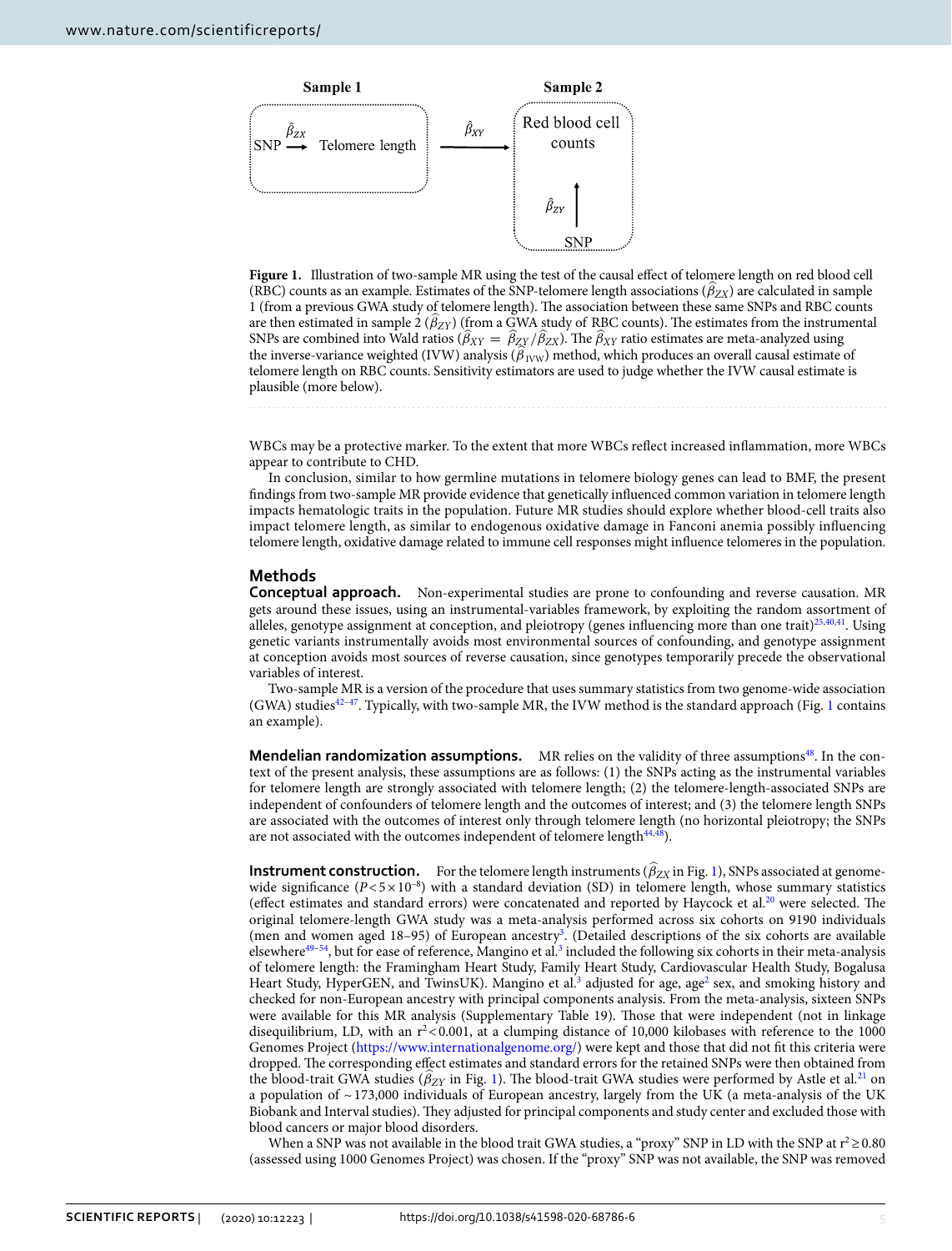

<span id="page-4-0"></span>Figure 1. Illustration of two-sample MR using the test of the causal effect of telomere length on red blood cell (RBC) counts as an example. Estimates of the SNP-telomere length associations ( $\beta_{ZX}$ ) are calculated in sample 1 (from a previous GWA study of telomere length). The association between these same SNPs and RBC counts are then estimated in sample 2 ( $\hat{\beta}_{ZY}$ ) (from a GWA study of RBC counts). The estimates from the instrumental SNPs are combined into Wald ratios ( $\beta_{XY} = \beta_{ZY}/\beta_{ZX}$ ). The  $\beta_{XY}$  ratio estimates are meta-analyzed using the inverse-variance weighted (IVW) analysis ( $\hat{\beta}_{\text{IVV}}$ ) method, which produces an overall causal estimate of telomere length on RBC counts. Sensitivity estimators are used to judge whether the IVW causal estimate is plausible (more below).

WBCs may be a protective marker. To the extent that more WBCs refect increased infammation, more WBCs appear to contribute to CHD.

In conclusion, similar to how germline mutations in telomere biology genes can lead to BMF, the present fndings from two-sample MR provide evidence that genetically infuenced common variation in telomere length impacts hematologic traits in the population. Future MR studies should explore whether blood-cell traits also impact telomere length, as similar to endogenous oxidative damage in Fanconi anemia possibly infuencing telomere length, oxidative damage related to immune cell responses might infuence telomeres in the population.

# **Methods**

**Conceptual approach.** Non-experimental studies are prone to confounding and reverse causation. MR gets around these issues, using an instrumental-variables framework, by exploiting the random assortment of alleles, genotype assignment at conception, and pleiotropy (genes influencing more than one trait)<sup>25[,40](#page-7-6),41</sup>. Using genetic variants instrumentally avoids most environmental sources of confounding, and genotype assignment at conception avoids most sources of reverse causation, since genotypes temporarily precede the observational variables of interest.

Two-sample MR is a version of the procedure that uses summary statistics from two genome-wide association (GWA) studies<sup>[42](#page-7-8)-[47](#page-7-9)</sup>. Typically, with two-sample MR, the IVW method is the standard approach (Fig. [1](#page-4-0) contains an example).

**Mendelian randomization assumptions.** MR relies on the validity of three assumptions<sup>[48](#page-7-10)</sup>. In the context of the present analysis, these assumptions are as follows: (1) the SNPs acting as the instrumental variables for telomere length are strongly associated with telomere length; (2) the telomere-length-associated SNPs are independent of confounders of telomere length and the outcomes of interest; and (3) the telomere length SNPs are associated with the outcomes of interest only through telomere length (no horizontal pleiotropy; the SNPs are not associated with the outcomes independent of telomere length $44,48$  $44,48$  $44,48$ .

**Instrument construction.** For the telomere length instruments ( $\beta_{ZX}$  in Fig. [1](#page-4-0)), SNPs associated at genomewide significance  $(P < 5 \times 10^{-8})$  with a standard deviation (SD) in telomere length, whose summary statistics (effect estimates and standard errors) were concatenated and reported by Haycock et al.<sup>20</sup> were selected. The original telomere-length GWA study was a meta-analysis performed across six cohorts on 9190 individuals (men and women aged 18–95) of European ancestr[y3](#page-6-2) . (Detailed descriptions of the six cohorts are available elsewhere<sup>49-[54](#page-7-13)</sup>, but for ease of reference, Mangino et al.<sup>3</sup> included the following six cohorts in their meta-analysis of telomere length: the Framingham Heart Study, Family Heart Study, Cardiovascular Health Study, Bogalusa Heart Study, HyperGEN, and TwinsUK). Mangino et al.<sup>[3](#page-6-2)</sup> adjusted for age, age<sup>[2](#page-6-1)</sup> sex, and smoking history and checked for non-European ancestry with principal components analysis. From the meta-analysis, sixteen SNPs were available for this MR analysis (Supplementary Table 19). Tose that were independent (not in linkage disequilibrium, LD, with an  $r^2 < 0.001$ , at a clumping distance of 10,000 kilobases with reference to the 1000 Genomes Project (<https://www.internationalgenome.org/>) were kept and those that did not ft this criteria were dropped. The corresponding effect estimates and standard errors for the retained SNPs were then obtained from the blood-trait GWA studies ( $\hat{\beta}_{ZY}$  in Fig. [1](#page-4-0)). The blood-trait GWA studies were performed by Astle et al.<sup>[21](#page-6-20)</sup> on a population of  $\sim$  173,000 individuals of European ancestry, largely from the UK (a meta-analysis of the UK Biobank and Interval studies). They adjusted for principal components and study center and excluded those with blood cancers or major blood disorders.

When a SNP was not available in the blood trait GWA studies, a "proxy" SNP in LD with the SNP at  $r^2 \ge 0.80$ (assessed using 1000 Genomes Project) was chosen. If the "proxy" SNP was not available, the SNP was removed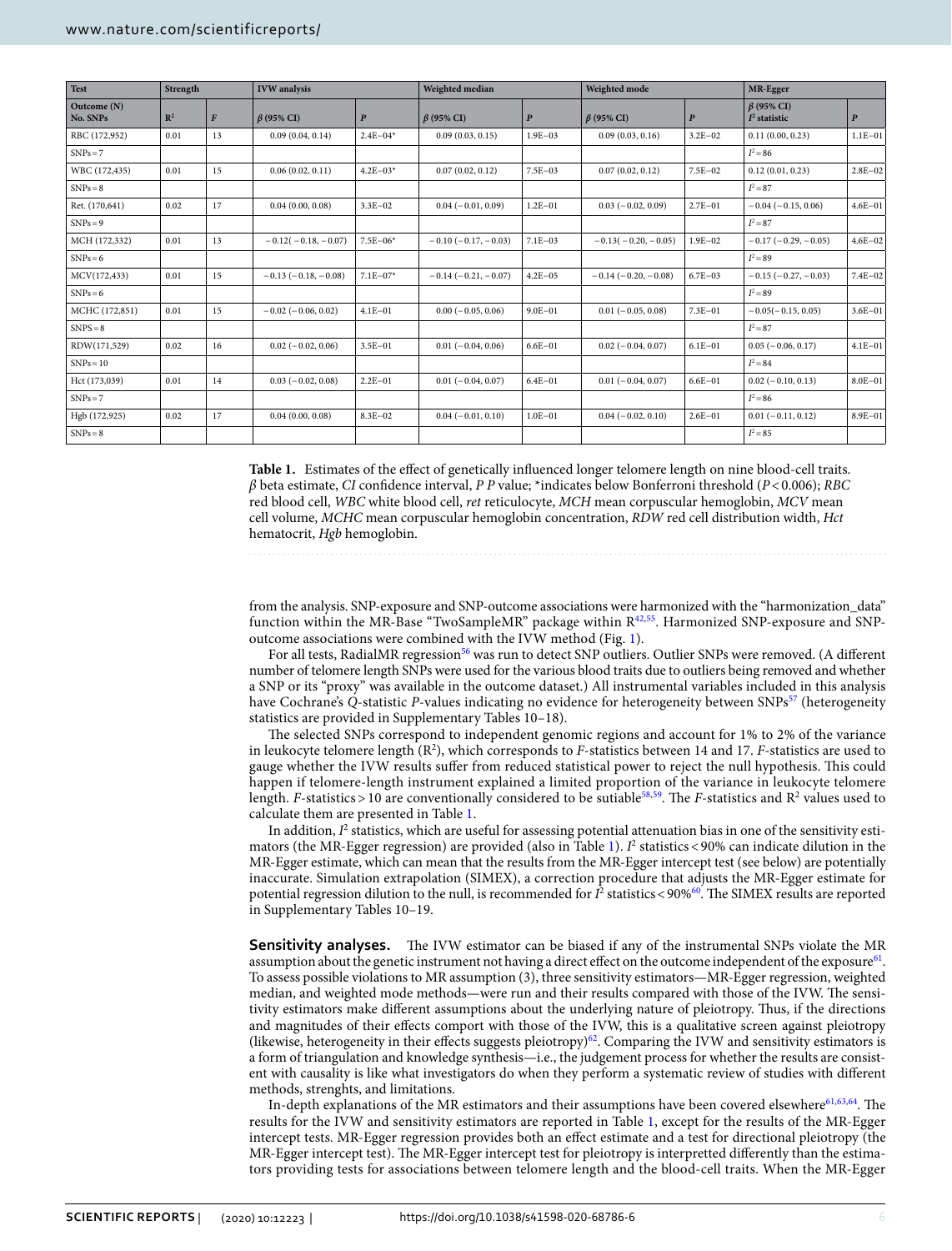| Test                    | Strength       |                  | <b>IVW</b> analysis       |                  | Weighted median       |                  | Weighted mode            |                  | MR-Egger                           |                  |
|-------------------------|----------------|------------------|---------------------------|------------------|-----------------------|------------------|--------------------------|------------------|------------------------------------|------------------|
| Outcome (N)<br>No. SNPs | $\mathbb{R}^2$ | $\boldsymbol{F}$ | $\beta$ (95% CI)          | $\boldsymbol{P}$ | $\beta$ (95% CI)      | $\boldsymbol{P}$ | $\beta$ (95% CI)         | $\boldsymbol{P}$ | $\beta$ (95% CI)<br>$I2$ statistic | $\boldsymbol{P}$ |
| RBC (172,952)           | 0.01           | 13               | 0.09(0.04, 0.14)          | $2.4E - 04*$     | 0.09(0.03, 0.15)      | $1.9E - 03$      | 0.09(0.03, 0.16)         | $3.2E - 02$      | 0.11(0.00, 0.23)                   | $1.1E - 01$      |
| $SNPs = 7$              |                |                  |                           |                  |                       |                  |                          |                  | $I^2 = 86$                         |                  |
| WBC (172,435)           | 0.01           | 15               | 0.06(0.02, 0.11)          | $4.2E - 03*$     | 0.07(0.02, 0.12)      | $7.5E - 03$      | 0.07(0.02, 0.12)         | $7.5E - 02$      | 0.12(0.01, 0.23)                   | $2.8E - 02$      |
| $SNPs = 8$              |                |                  |                           |                  |                       |                  |                          |                  | $I^2 = 87$                         |                  |
| Ret. (170,641)          | 0.02           | 17               | 0.04(0.00, 0.08)          | $3.3E - 02$      | $0.04 (-0.01, 0.09)$  | $1.2E - 01$      | $0.03(-0.02, 0.09)$      | $2.7E - 01$      | $-0.04(-0.15, 0.06)$               | $4.6E - 01$      |
| $SNPs = 9$              |                |                  |                           |                  |                       |                  |                          |                  | $I^2 = 87$                         |                  |
| MCH (172,332)           | 0.01           | 13               | $-0.12(-0.18, -0.07)$     | $7.5E - 06*$     | $-0.10(-0.17, -0.03)$ | $7.1E - 03$      | $-0.13(-0.20,-0.05)$     | $1.9E - 02$      | $-0.17(-0.29, -0.05)$              | $4.6E - 02$      |
| $SNPs = 6$              |                |                  |                           |                  |                       |                  |                          |                  | $I^2 = 89$                         |                  |
| MCV(172,433)            | 0.01           | 15               | $-0.13(-0.18,-0.08)$      | $7.1E - 07*$     | $-0.14(-0.21,-0.07)$  | $4.2E - 05$      | $-0.14(-0.20,-0.08)$     | $6.7E - 03$      | $-0.15(-0.27, -0.03)$              | $7.4E - 02$      |
| $SNPs = 6$              |                |                  |                           |                  |                       |                  |                          |                  | $I^2 = 89$                         |                  |
| MCHC (172,851)          | 0.01           | 15               | $-0.02$ ( $-0.06, 0.02$ ) | $4.1E - 01$      | $0.00 (-0.05, 0.06)$  | $9.0E - 01$      | $0.01 (-0.05, 0.08)$     | $7.3E - 01$      | $-0.05(-0.15, 0.05)$               | $3.6E - 01$      |
| $SNPS = 8$              |                |                  |                           |                  |                       |                  |                          |                  | $I^2 = 87$                         |                  |
| RDW(171,529)            | 0.02           | 16               | $0.02 (-0.02, 0.06)$      | $3.5E - 01$      | $0.01 (-0.04, 0.06)$  | $6.6E - 01$      | $0.02$ ( $-0.04$ , 0.07) | $6.1E - 01$      | $0.05(-0.06, 0.17)$                | $4.1E - 01$      |
| $SNPs = 10$             |                |                  |                           |                  |                       |                  |                          |                  | $I^2 = 84$                         |                  |
| Hct (173,039)           | 0.01           | 14               | $0.03(-0.02, 0.08)$       | $2.2E - 01$      | $0.01 (-0.04, 0.07)$  | $6.4E - 01$      | $0.01 (-0.04, 0.07)$     | $6.6E - 01$      | $0.02 (-0.10, 0.13)$               | $8.0E - 01$      |
| $SNPs = 7$              |                |                  |                           |                  |                       |                  |                          |                  | $I^2 = 86$                         |                  |
| Hgb (172,925)           | 0.02           | 17               | 0.04(0.00, 0.08)          | $8.3E - 02$      | $0.04 (-0.01, 0.10)$  | $1.0E - 01$      | $0.04 (-0.02, 0.10)$     | $2.6E - 01$      | $0.01 (-0.11, 0.12)$               | $8.9E - 01$      |
| $SNPs = 8$              |                |                  |                           |                  |                       |                  |                          |                  | $I^2 = 85$                         |                  |

<span id="page-5-0"></span>**Table 1.** Estimates of the efect of genetically infuenced longer telomere length on nine blood-cell traits. *β* beta estimate, *CI* confdence interval, *P P* value; \*indicates below Bonferroni threshold (*P*<0.006); *RBC* red blood cell, *WBC* white blood cell, *ret* reticulocyte, *MCH* mean corpuscular hemoglobin, *MCV* mean cell volume, *MCHC* mean corpuscular hemoglobin concentration, *RDW* red cell distribution width, *Hct* hematocrit, *Hgb* hemoglobin.

from the analysis. SNP-exposure and SNP-outcome associations were harmonized with the "harmonization\_data" function within the MR-Base "TwoSampleMR" package within [R42](#page-7-8)[,55](#page-7-14). Harmonized SNP-exposure and SNPoutcome associations were combined with the IVW method (Fig. [1\)](#page-4-0).

For all tests, RadialMR regression<sup>[56](#page-7-15)</sup> was run to detect SNP outliers. Outlier SNPs were removed. (A different number of telomere length SNPs were used for the various blood traits due to outliers being removed and whether a SNP or its "proxy" was available in the outcome dataset.) All instrumental variables included in this analysis have Cochrane's Q-statistic *P*-values indicating no evidence for heterogeneity between SNPs<sup>57</sup> (heterogeneity statistics are provided in Supplementary Tables 10–18).

The selected SNPs correspond to independent genomic regions and account for 1% to 2% of the variance in leukocyte telomere length (R<sup>2</sup>), which corresponds to *F*-statistics between 14 and 17. *F*-statistics are used to gauge whether the IVW results suffer from reduced statistical power to reject the null hypothesis. This could happen if telomere-length instrument explained a limited proportion of the variance in leukocyte telomere length. *F*-statistics > 10 are conventionally considered to be sutiable<sup>58[,59](#page-7-18)</sup>. The *F*-statistics and  $R^2$  values used to calculate them are presented in Table [1](#page-5-0).

In addition,  $I^2$  statistics, which are useful for assessing potential attenuation bias in one of the sensitivity esti-mators (the MR-Egger regression) are provided (also in Table [1\)](#page-5-0).  $I^2$  statistics < 90% can indicate dilution in the MR-Egger estimate, which can mean that the results from the MR-Egger intercept test (see below) are potentially inaccurate. Simulation extrapolation (SIMEX), a correction procedure that adjusts the MR-Egger estimate for potential regression dilution to the null, is recommended for  $I^2$  statistics <90%<sup>[60](#page-7-19)</sup>. The SIMEX results are reported in Supplementary Tables 10–19.

**Sensitivity analyses.** The IVW estimator can be biased if any of the instrumental SNPs violate the MR assumption about the genetic instrument not having a direct effect on the outcome independent of the exposure<sup>[61](#page-7-20)</sup>. To assess possible violations to MR assumption (3), three sensitivity estimators—MR-Egger regression, weighted median, and weighted mode methods—were run and their results compared with those of the IVW. The sensitivity estimators make diferent assumptions about the underlying nature of pleiotropy. Tus, if the directions and magnitudes of their efects comport with those of the IVW, this is a qualitative screen against pleiotropy (likewise, heterogeneity in their effects suggests pleiotropy)<sup>62</sup>. Comparing the IVW and sensitivity estimators is a form of triangulation and knowledge synthesis—i.e., the judgement process for whether the results are consistent with causality is like what investigators do when they perform a systematic review of studies with diferent methods, strenghts, and limitations.

In-depth explanations of the MR estimators and their assumptions have been covered elsewhere $61,63,64$  $61,63,64$  $61,63,64$  $61,63,64$  $61,63,64$ . The results for the IVW and sensitivity estimators are reported in Table [1](#page-5-0), except for the results of the MR-Egger intercept tests. MR-Egger regression provides both an efect estimate and a test for directional pleiotropy (the MR-Egger intercept test). The MR-Egger intercept test for pleiotropy is interpretted differently than the estimators providing tests for associations between telomere length and the blood-cell traits. When the MR-Egger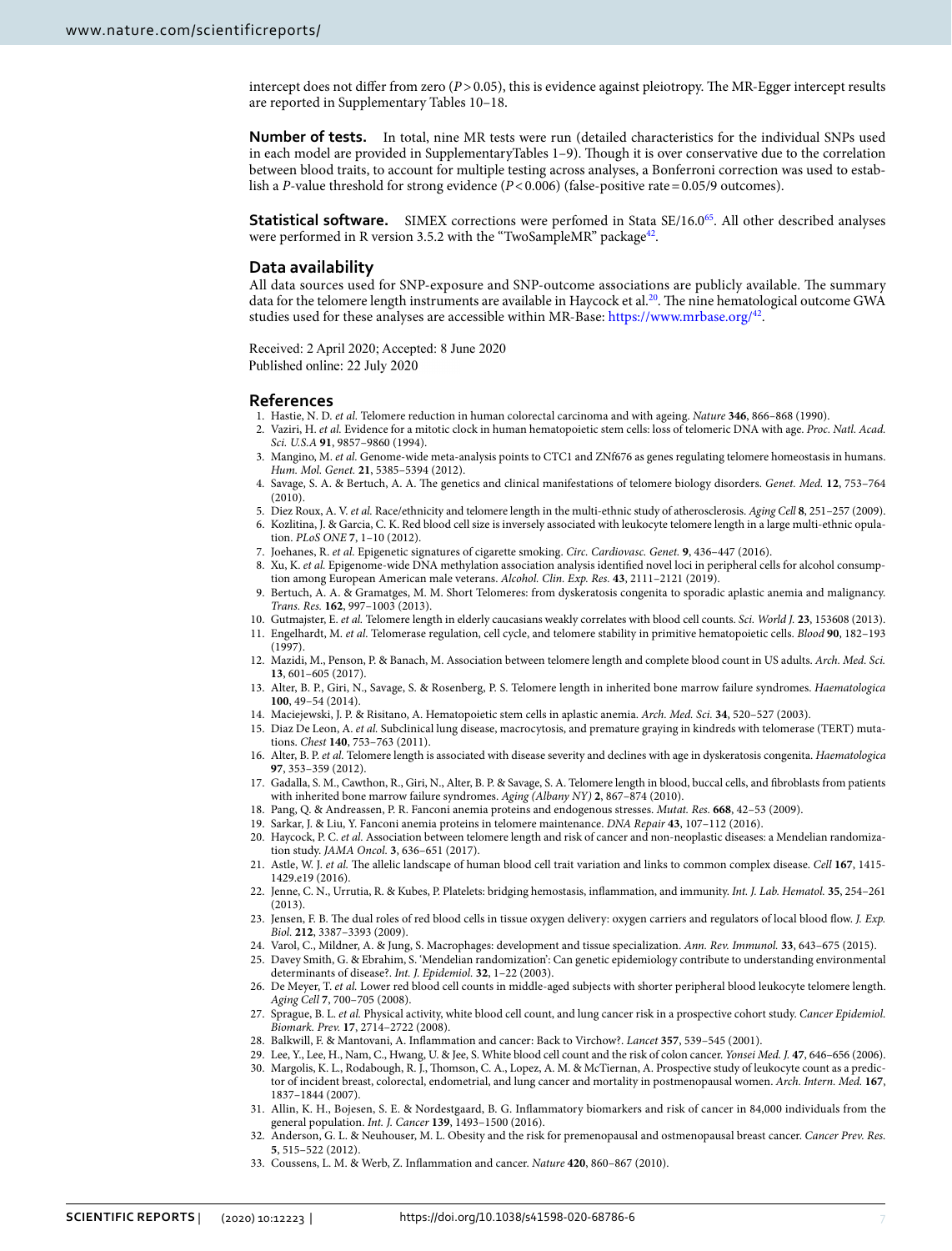intercept does not differ from zero  $(P>0.05)$ , this is evidence against pleiotropy. The MR-Egger intercept results are reported in Supplementary Tables 10–18.

**Number of tests.** In total, nine MR tests were run (detailed characteristics for the individual SNPs used in each model are provided in SupplementaryTables 1–9). Tough it is over conservative due to the correlation between blood traits, to account for multiple testing across analyses, a Bonferroni correction was used to establish a *P*-value threshold for strong evidence  $(P < 0.006)$  (false-positive rate = 0.05/9 outcomes).

**Statistical software.** SIMEX corrections were perfomed in Stata SE/16.0<sup>[65](#page-7-24)</sup>. All other described analyses were performed in R version 3.5.2 with the "TwoSampleMR" package<sup>42</sup>.

# **Data availability**

All data sources used for SNP-exposure and SNP-outcome associations are publicly available. The summary data for the telomere length instruments are available in Haycock et al.<sup>[20](#page-6-19)</sup>. The nine hematological outcome GWA studies used for these analyses are accessible within MR-Base: <https://www.mrbase.org/>[42.](#page-7-8)

Received: 2 April 2020; Accepted: 8 June 2020 Published online: 22 July 2020

### **References**

- <span id="page-6-0"></span>1. Hastie, N. D. *et al.* Telomere reduction in human colorectal carcinoma and with ageing. *Nature* **346**, 866–868 (1990).
- <span id="page-6-1"></span>2. Vaziri, H. *et al.* Evidence for a mitotic clock in human hematopoietic stem cells: loss of telomeric DNA with age. *Proc. Natl. Acad. Sci. U.S.A* **91**, 9857–9860 (1994).
- <span id="page-6-2"></span>3. Mangino, M. *et al.* Genome-wide meta-analysis points to CTC1 and ZNf676 as genes regulating telomere homeostasis in humans. *Hum. Mol. Genet.* **21**, 5385–5394 (2012).
- <span id="page-6-3"></span>4. Savage, S. A. & Bertuch, A. A. Te genetics and clinical manifestations of telomere biology disorders. *Genet. Med.* **12**, 753–764 (2010).
- <span id="page-6-4"></span>5. Diez Roux, A. V. *et al.* Race/ethnicity and telomere length in the multi-ethnic study of atherosclerosis. *Aging Cell* **8**, 251–257 (2009).
- <span id="page-6-5"></span>6. Kozlitina, J. & Garcia, C. K. Red blood cell size is inversely associated with leukocyte telomere length in a large multi-ethnic opulation. *PLoS ONE* **7**, 1–10 (2012).
- <span id="page-6-6"></span>7. Joehanes, R. *et al.* Epigenetic signatures of cigarette smoking. *Circ. Cardiovasc. Genet.* **9**, 436–447 (2016).
- <span id="page-6-7"></span>8. Xu, K. *et al.* Epigenome-wide DNA methylation association analysis identifed novel loci in peripheral cells for alcohol consumption among European American male veterans. *Alcohol. Clin. Exp. Res.* **43**, 2111–2121 (2019).
- <span id="page-6-8"></span>9. Bertuch, A. A. & Gramatges, M. M. Short Telomeres: from dyskeratosis congenita to sporadic aplastic anemia and malignancy. *Trans. Res.* **162**, 997–1003 (2013).
- <span id="page-6-9"></span>10. Gutmajster, E. *et al.* Telomere length in elderly caucasians weakly correlates with blood cell counts. *Sci. World J.* **23**, 153608 (2013).
- <span id="page-6-10"></span>11. Engelhardt, M. *et al.* Telomerase regulation, cell cycle, and telomere stability in primitive hematopoietic cells. *Blood* **90**, 182–193 (1997).
- <span id="page-6-11"></span>12. Mazidi, M., Penson, P. & Banach, M. Association between telomere length and complete blood count in US adults. *Arch. Med. Sci.* **13**, 601–605 (2017).
- <span id="page-6-12"></span>13. Alter, B. P., Giri, N., Savage, S. & Rosenberg, P. S. Telomere length in inherited bone marrow failure syndromes. *Haematologica* **100**, 49–54 (2014).
- <span id="page-6-13"></span>14. Maciejewski, J. P. & Risitano, A. Hematopoietic stem cells in aplastic anemia. *Arch. Med. Sci.* **34**, 520–527 (2003).
- <span id="page-6-14"></span>15. Diaz De Leon, A. *et al.* Subclinical lung disease, macrocytosis, and premature graying in kindreds with telomerase (TERT) mutations. *Chest* **140**, 753–763 (2011).
- <span id="page-6-15"></span>16. Alter, B. P. *et al.* Telomere length is associated with disease severity and declines with age in dyskeratosis congenita. *Haematologica* **97**, 353–359 (2012).
- <span id="page-6-16"></span>17. Gadalla, S. M., Cawthon, R., Giri, N., Alter, B. P. & Savage, S. A. Telomere length in blood, buccal cells, and fbroblasts from patients with inherited bone marrow failure syndromes. *Aging (Albany NY)* **2**, 867–874 (2010).
- <span id="page-6-17"></span>18. Pang, Q. & Andreassen, P. R. Fanconi anemia proteins and endogenous stresses. *Mutat. Res.* **668**, 42–53 (2009).
- <span id="page-6-18"></span>19. Sarkar, J. & Liu, Y. Fanconi anemia proteins in telomere maintenance. *DNA Repair* **43**, 107–112 (2016).
- <span id="page-6-19"></span>20. Haycock, P. C. *et al.* Association between telomere length and risk of cancer and non-neoplastic diseases: a Mendelian randomization study. *JAMA Oncol.* **3**, 636–651 (2017).
- <span id="page-6-20"></span>21. Astle, W. J. *et al.* Te allelic landscape of human blood cell trait variation and links to common complex disease. *Cell* **167**, 1415- 1429.e19 (2016).
- <span id="page-6-21"></span>22. Jenne, C. N., Urrutia, R. & Kubes, P. Platelets: bridging hemostasis, infammation, and immunity. *Int. J. Lab. Hematol.* **35**, 254–261 (2013).
- 23. Jensen, F. B. The dual roles of red blood cells in tissue oxygen delivery: oxygen carriers and regulators of local blood flow. *J. Exp. Biol.* **212**, 3387–3393 (2009).
- <span id="page-6-22"></span>24. Varol, C., Mildner, A. & Jung, S. Macrophages: development and tissue specialization. *Ann. Rev. Immunol.* **33**, 643–675 (2015).
- <span id="page-6-23"></span>25. Davey Smith, G. & Ebrahim, S. 'Mendelian randomization': Can genetic epidemiology contribute to understanding environmental determinants of disease?. *Int. J. Epidemiol.* **32**, 1–22 (2003).
- <span id="page-6-24"></span>26. De Meyer, T. *et al.* Lower red blood cell counts in middle-aged subjects with shorter peripheral blood leukocyte telomere length. *Aging Cell* **7**, 700–705 (2008).
- <span id="page-6-25"></span>27. Sprague, B. L. *et al.* Physical activity, white blood cell count, and lung cancer risk in a prospective cohort study. *Cancer Epidemiol. Biomark. Prev.* **17**, 2714–2722 (2008).
- <span id="page-6-26"></span>28. Balkwill, F. & Mantovani, A. Infammation and cancer: Back to Virchow?. *Lancet* **357**, 539–545 (2001).
- <span id="page-6-27"></span>29. Lee, Y., Lee, H., Nam, C., Hwang, U. & Jee, S. White blood cell count and the risk of colon cancer. *Yonsei Med. J.* **47**, 646–656 (2006). 30. Margolis, K. L., Rodabough, R. J., Tomson, C. A., Lopez, A. M. & McTiernan, A. Prospective study of leukocyte count as a predictor of incident breast, colorectal, endometrial, and lung cancer and mortality in postmenopausal women. *Arch. Intern. Med.* **167**, 1837–1844 (2007).
- 31. Allin, K. H., Bojesen, S. E. & Nordestgaard, B. G. Infammatory biomarkers and risk of cancer in 84,000 individuals from the general population. *Int. J. Cancer* **139**, 1493–1500 (2016).
- 32. Anderson, G. L. & Neuhouser, M. L. Obesity and the risk for premenopausal and ostmenopausal breast cancer. *Cancer Prev. Res.* **5**, 515–522 (2012).
- <span id="page-6-28"></span>33. Coussens, L. M. & Werb, Z. Infammation and cancer. *Nature* **420**, 860–867 (2010).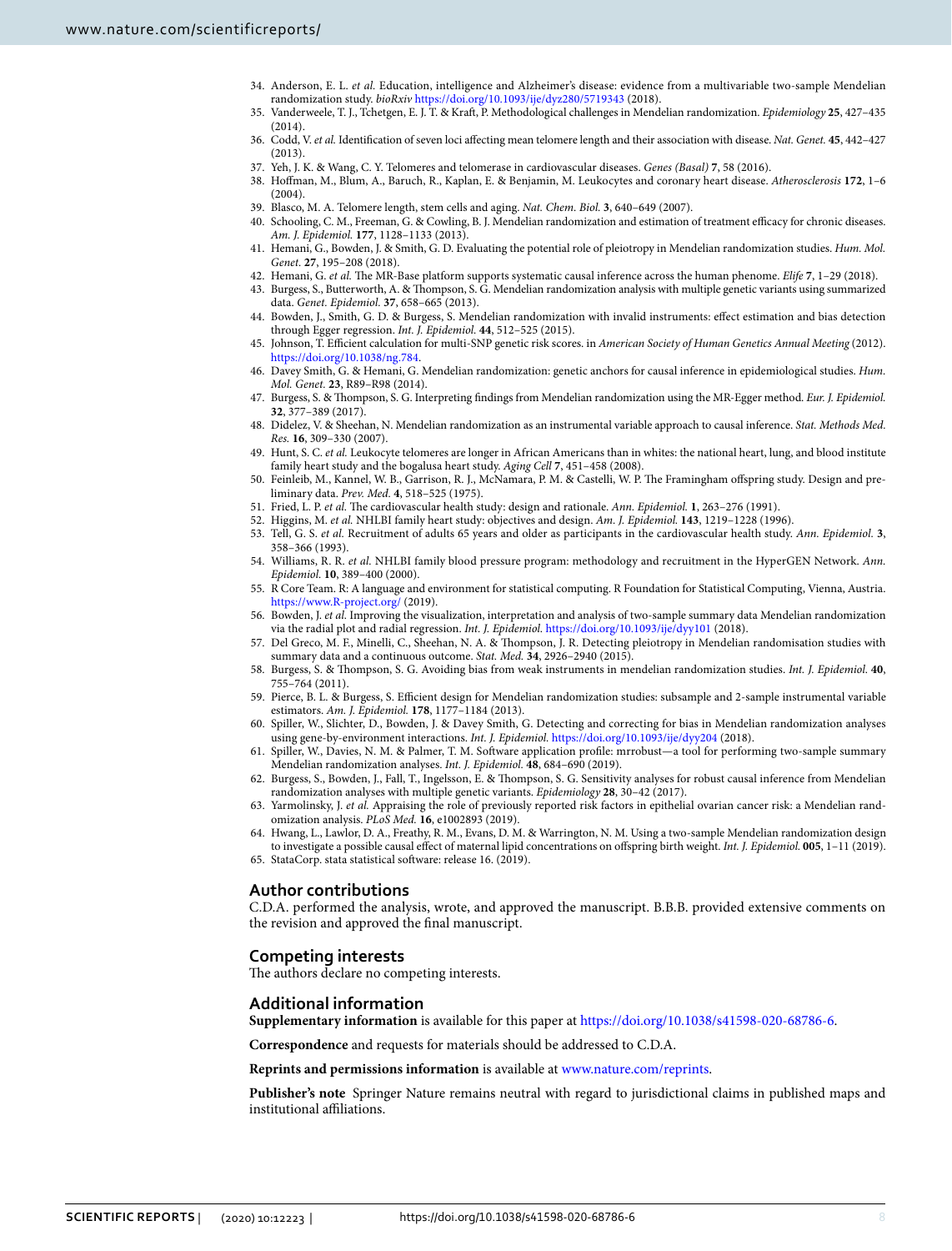- <span id="page-7-0"></span>34. Anderson, E. L. *et al.* Education, intelligence and Alzheimer's disease: evidence from a multivariable two-sample Mendelian randomization study. *bioRxiv* <https://doi.org/10.1093/ije/dyz280/5719343>(2018).
- <span id="page-7-1"></span>35. Vanderweele, T. J., Tchetgen, E. J. T. & Kraf, P. Methodological challenges in Mendelian randomization. *Epidemiology* **25**, 427–435 (2014).
- <span id="page-7-2"></span>36. Codd, V. *et al.* Identifcation of seven loci afecting mean telomere length and their association with disease. *Nat. Genet.* **45**, 442–427 (2013).
- <span id="page-7-3"></span>37. Yeh, J. K. & Wang, C. Y. Telomeres and telomerase in cardiovascular diseases. *Genes (Basal)* **7**, 58 (2016).
- <span id="page-7-4"></span>38. Hofman, M., Blum, A., Baruch, R., Kaplan, E. & Benjamin, M. Leukocytes and coronary heart disease. *Atherosclerosis* **172**, 1–6 (2004).
- <span id="page-7-5"></span>39. Blasco, M. A. Telomere length, stem cells and aging. *Nat. Chem. Biol.* **3**, 640–649 (2007).
- <span id="page-7-6"></span>40. Schooling, C. M., Freeman, G. & Cowling, B. J. Mendelian randomization and estimation of treatment efficacy for chronic diseases. *Am. J. Epidemiol.* **177**, 1128–1133 (2013).
- <span id="page-7-7"></span>41. Hemani, G., Bowden, J. & Smith, G. D. Evaluating the potential role of pleiotropy in Mendelian randomization studies. *Hum. Mol. Genet.* **27**, 195–208 (2018).
- <span id="page-7-8"></span>42. Hemani, G. *et al.* Te MR-Base platform supports systematic causal inference across the human phenome. *Elife* **7**, 1–29 (2018).
- 43. Burgess, S., Butterworth, A. & Tompson, S. G. Mendelian randomization analysis with multiple genetic variants using summarized data. *Genet. Epidemiol.* **37**, 658–665 (2013).
- <span id="page-7-11"></span>44. Bowden, J., Smith, G. D. & Burgess, S. Mendelian randomization with invalid instruments: efect estimation and bias detection through Egger regression. *Int. J. Epidemiol.* **44**, 512–525 (2015).
- 45. Johnson, T. Efcient calculation for multi-SNP genetic risk scores. in *American Society of Human Genetics Annual Meeting* (2012). [https://doi.org/10.1038/ng.784.](https://doi.org/10.1038/ng.784)
- 46. Davey Smith, G. & Hemani, G. Mendelian randomization: genetic anchors for causal inference in epidemiological studies. *Hum. Mol. Genet.* **23**, R89–R98 (2014).
- <span id="page-7-9"></span>47. Burgess, S. & Tompson, S. G. Interpreting fndings from Mendelian randomization using the MR-Egger method. *Eur. J. Epidemiol.* **32**, 377–389 (2017).
- <span id="page-7-10"></span>48. Didelez, V. & Sheehan, N. Mendelian randomization as an instrumental variable approach to causal inference. *Stat. Methods Med. Res.* **16**, 309–330 (2007).
- <span id="page-7-12"></span>49. Hunt, S. C. *et al.* Leukocyte telomeres are longer in African Americans than in whites: the national heart, lung, and blood institute family heart study and the bogalusa heart study. *Aging Cell* **7**, 451–458 (2008).
- 50. Feinleib, M., Kannel, W. B., Garrison, R. J., McNamara, P. M. & Castelli, W. P. Te Framingham ofspring study. Design and preliminary data. *Prev. Med.* **4**, 518–525 (1975).
- 51. Fried, L. P. *et al.* Te cardiovascular health study: design and rationale. *Ann. Epidemiol.* **1**, 263–276 (1991).
- 52. Higgins, M. *et al.* NHLBI family heart study: objectives and design. *Am. J. Epidemiol.* **143**, 1219–1228 (1996).
- 53. Tell, G. S. *et al.* Recruitment of adults 65 years and older as participants in the cardiovascular health study. *Ann. Epidemiol.* **3**, 358–366 (1993).
- <span id="page-7-13"></span>54. Williams, R. R. *et al.* NHLBI family blood pressure program: methodology and recruitment in the HyperGEN Network. *Ann. Epidemiol.* **10**, 389–400 (2000).
- <span id="page-7-14"></span>55. R Core Team. R: A language and environment for statistical computing. R Foundation for Statistical Computing, Vienna, Austria. <https://www.R-project.org/>(2019).
- <span id="page-7-15"></span>56. Bowden, J. *et al.* Improving the visualization, interpretation and analysis of two-sample summary data Mendelian randomization via the radial plot and radial regression. *Int. J. Epidemiol.* <https://doi.org/10.1093/ije/dyy101> (2018).
- <span id="page-7-16"></span>57. Del Greco, M. F., Minelli, C., Sheehan, N. A. & Tompson, J. R. Detecting pleiotropy in Mendelian randomisation studies with summary data and a continuous outcome. *Stat. Med.* **34**, 2926–2940 (2015).
- <span id="page-7-17"></span>58. Burgess, S. & Tompson, S. G. Avoiding bias from weak instruments in mendelian randomization studies. *Int. J. Epidemiol.* **40**, 755–764 (2011).
- <span id="page-7-18"></span>59. Pierce, B. L. & Burgess, S. Efcient design for Mendelian randomization studies: subsample and 2-sample instrumental variable estimators. *Am. J. Epidemiol.* **178**, 1177–1184 (2013).
- <span id="page-7-19"></span>60. Spiller, W., Slichter, D., Bowden, J. & Davey Smith, G. Detecting and correcting for bias in Mendelian randomization analyses using gene-by-environment interactions. *Int. J. Epidemiol.* <https://doi.org/10.1093/ije/dyy204>(2018).
- <span id="page-7-20"></span>61. Spiller, W., Davies, N. M. & Palmer, T. M. Sofware application profle: mrrobust—a tool for performing two-sample summary Mendelian randomization analyses. *Int. J. Epidemiol.* **48**, 684–690 (2019).
- <span id="page-7-21"></span>62. Burgess, S., Bowden, J., Fall, T., Ingelsson, E. & Tompson, S. G. Sensitivity analyses for robust causal inference from Mendelian randomization analyses with multiple genetic variants. *Epidemiology* **28**, 30–42 (2017).
- <span id="page-7-22"></span>63. Yarmolinsky, J. *et al.* Appraising the role of previously reported risk factors in epithelial ovarian cancer risk: a Mendelian randomization analysis. *PLoS Med.* **16**, e1002893 (2019).
- <span id="page-7-23"></span>64. Hwang, L., Lawlor, D. A., Freathy, R. M., Evans, D. M. & Warrington, N. M. Using a two-sample Mendelian randomization design to investigate a possible causal efect of maternal lipid concentrations on ofspring birth weight. *Int. J. Epidemiol.* **005**, 1–11 (2019). 65. StataCorp. stata statistical sofware: release 16. (2019).
- <span id="page-7-24"></span>

# **Author contributions**

C.D.A. performed the analysis, wrote, and approved the manuscript. B.B.B. provided extensive comments on the revision and approved the fnal manuscript.

# **Competing interests**

The authors declare no competing interests.

# **Additional information**

**Supplementary information** is available for this paper at [https://doi.org/10.1038/s41598-020-68786-6.](https://doi.org/10.1038/s41598-020-68786-6)

**Correspondence** and requests for materials should be addressed to C.D.A.

**Reprints and permissions information** is available at [www.nature.com/reprints.](www.nature.com/reprints)

**Publisher's note** Springer Nature remains neutral with regard to jurisdictional claims in published maps and institutional afliations.